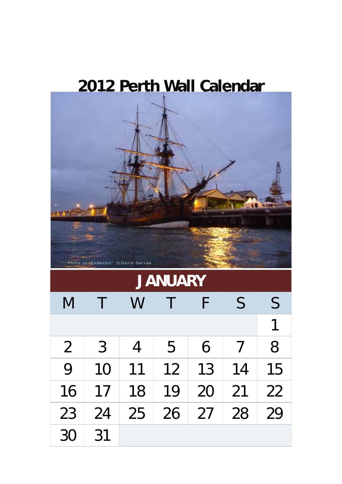## **2012 Perth Wall Calendar**

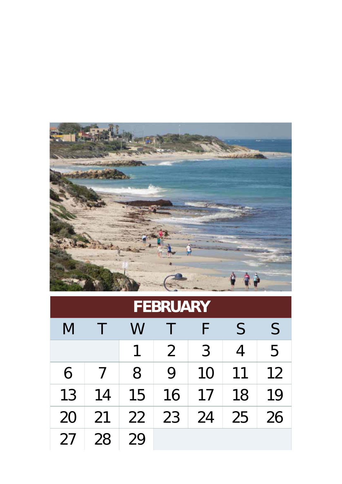

| FEBRUARY |    |    |    |               |              |              |  |  |
|----------|----|----|----|---------------|--------------|--------------|--|--|
| M        |    | W  |    | F             | $\mathsf{S}$ | $\mathsf{S}$ |  |  |
|          |    |    | 2  | $\mathcal{S}$ | 4            | 5            |  |  |
| 6        |    | 8  | 9  | 10            | 11           | 12           |  |  |
| 13       | 14 | 15 | 16 | 17            | 18           | 19           |  |  |
| 20       | 21 | 22 | 23 | 24            | 25           | 26           |  |  |
| 27       | 28 | 29 |    |               |              |              |  |  |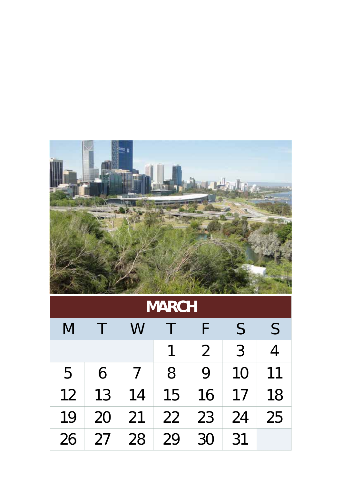

|  |  | <b>MARCH</b> |  |  |  |
|--|--|--------------|--|--|--|
|--|--|--------------|--|--|--|

| M  |    | W  |    |                | $\mathsf{S}$ | $\mathsf{S}$ |
|----|----|----|----|----------------|--------------|--------------|
|    |    |    |    | $\overline{2}$ | 3            |              |
| 5  | 6  |    | 8  | 9              | 10           | 11           |
| 12 | 13 | 14 | 15 | 16             | 17           | 18           |
| 19 | 20 | 21 | 22 | 23             | 24           | 25           |
| 26 | 27 | 28 | 29 | 30             | 31           |              |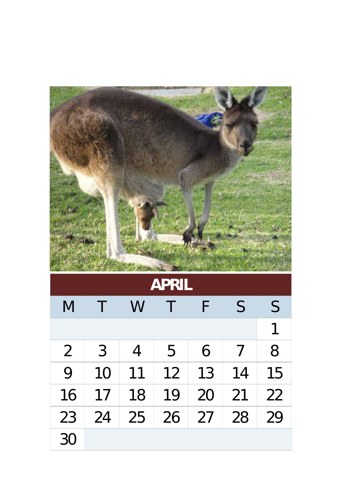|                |        |    | APRIL |    |    |    |
|----------------|--------|----|-------|----|----|----|
| M              | $\top$ | W  |       | F  | S  | S  |
|                |        |    |       |    |    | 1  |
| $\overline{2}$ | 3      | 4  | 5     | 6  |    | 8  |
| 9              | 10     | 11 | 12    | 13 | 14 | 15 |
| 16             | 17     | 18 | 19    | 20 | 21 | 22 |
| 23             | 24     | 25 | 26    | 27 | 28 | 29 |
| 30             |        |    |       |    |    |    |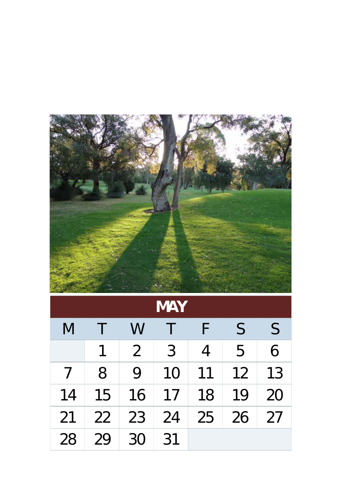

| <b>MAY</b> |    |                |    |                |              |              |  |
|------------|----|----------------|----|----------------|--------------|--------------|--|
| M          |    | W              |    | F              | $\mathsf{S}$ | $\mathsf{S}$ |  |
|            | 1  | $\overline{2}$ | 3  | $\overline{4}$ | 5            | 6            |  |
| 7          | 8  | 9              | 10 | 11             | 12           | 13           |  |
| 14         | 15 | 16             | 17 | 18             | 19           | 20           |  |
| 21         | 22 | 23             | 24 | 25             | 26           | 27           |  |
| 28         | 29 | 30             | 31 |                |              |              |  |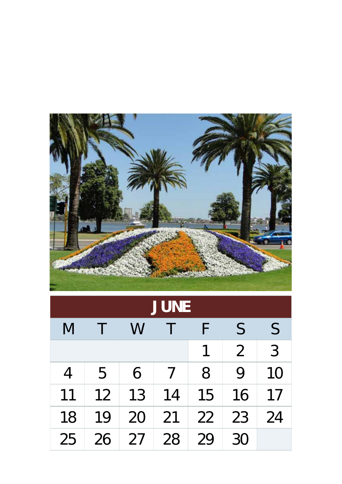

| <b>JUNE</b>    |    |    |                            |    |                |              |  |
|----------------|----|----|----------------------------|----|----------------|--------------|--|
| M              |    | W  |                            |    | $\mathsf{S}$   | $\mathsf{S}$ |  |
|                |    |    |                            | 1  | $\overline{2}$ | 3            |  |
| $\overline{4}$ | 5  | 6  | $\boldsymbol{\mathcal{I}}$ | 8  | 9              | 10           |  |
| 11             | 12 | 13 | 14                         | 15 | 16             | 17           |  |
| 18             | 19 | 20 | 21                         | 22 | 23             | 24           |  |
| 25             | 26 | 27 | 28                         | 29 | 30             |              |  |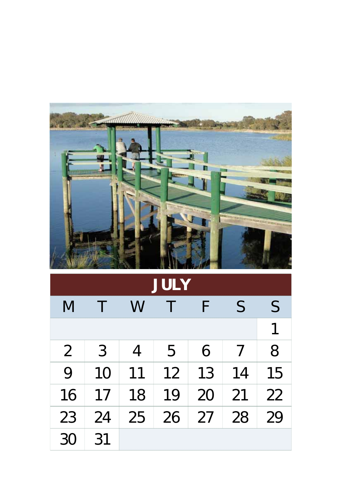|                |    |    | <b>JULY</b> |    |    |    |
|----------------|----|----|-------------|----|----|----|
| M              | T  | W  |             | F  | S  | S  |
|                |    |    |             |    |    |    |
| $\overline{2}$ | 3  |    | 5           | 6  | 7  | 8  |
| 9              | 10 | 11 | 12          | 13 | 14 | 15 |
| 16             | 17 | 18 | 19          | 20 | 21 | 22 |
| 23             | 24 | 25 | 26          | 27 | 28 | 29 |
| 30             | 31 |    |             |    |    |    |

m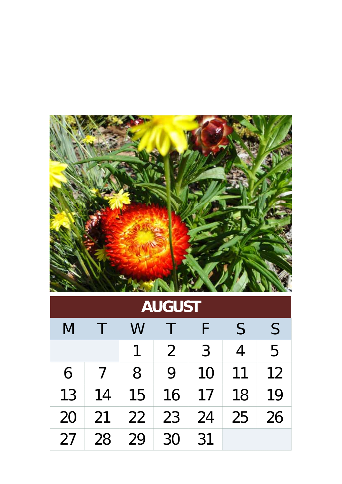

|  | <b>AUGUST</b> |
|--|---------------|
|  |               |
|  |               |

| M  |    | W  |                |    | $\mathsf{S}$ | $\mathsf S$ |
|----|----|----|----------------|----|--------------|-------------|
|    |    |    | $\overline{2}$ | 3  | 4            | 5           |
| 6  |    | 8  | 9              | 10 | 11           | 12          |
| 13 | 14 | 15 | 16             | 17 | 18           | 19          |
| 20 | 21 | 22 | 23             | 24 | 25           | 26          |
| 27 | 28 | 29 | 30             | 31 |              |             |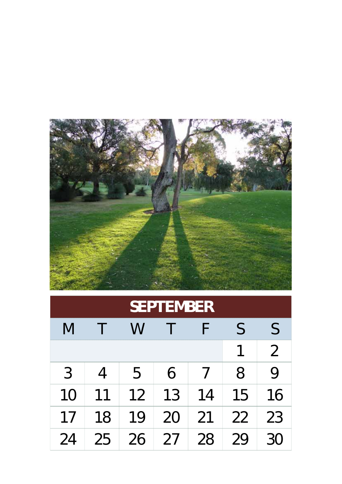

| <b>SEPTEMBER</b> |                |    |    |    |              |                |  |  |
|------------------|----------------|----|----|----|--------------|----------------|--|--|
| M                |                | W  |    | ⊦  | $\mathsf{S}$ | $\mathsf{S}$   |  |  |
|                  |                |    |    |    | 1            | $\overline{2}$ |  |  |
| 3                | $\overline{4}$ | 5  | 6  |    | 8            | 9              |  |  |
| 10               | 11             | 12 | 13 | 14 | 15           | 16             |  |  |
| 17               | 18             | 19 | 20 | 21 | 22           | 23             |  |  |
| 24               | 25             | 26 | 27 | 28 | 29           | 30             |  |  |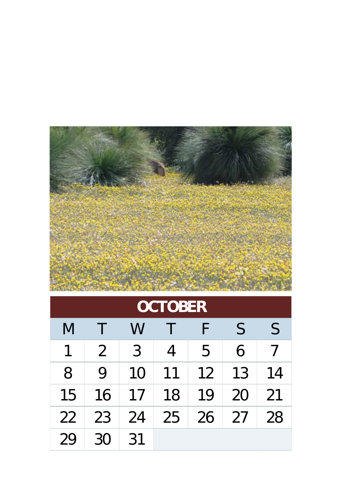

| <b>OCTOBER</b> |                |    |    |    |    |              |  |
|----------------|----------------|----|----|----|----|--------------|--|
| M              |                | W  |    |    | S  | $\mathsf{S}$ |  |
| 1              | $\overline{2}$ | 3  | 4  | 5  | 6  | $\prime$     |  |
| 8              | 9              | 10 | 11 | 12 | 13 | 14           |  |
| 15             | 16             | 17 | 18 | 19 | 20 | 21           |  |
| 22             | 23             | 24 | 25 | 26 | 27 | 28           |  |
| 29             | 30             | 31 |    |    |    |              |  |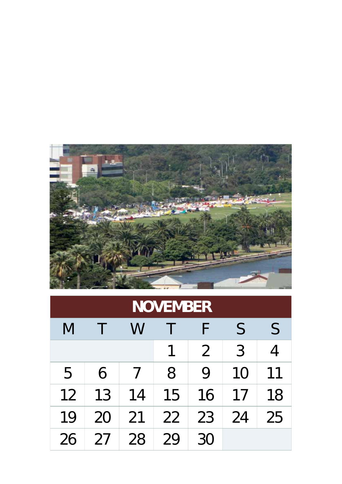

| <b>NOVEMBER</b> |    |    |    |                |                |    |  |  |
|-----------------|----|----|----|----------------|----------------|----|--|--|
| M               |    | W  |    | F              | S              | S  |  |  |
|                 |    |    |    | $\overline{2}$ | $\overline{3}$ | 4  |  |  |
| 5               | 6  |    | 8  | 9              | 10             | 11 |  |  |
| 12              | 13 | 14 | 15 | 16             | 17             | 18 |  |  |
| 19              | 20 | 21 | 22 | 23             | 24             | 25 |  |  |
| 26              | 27 | 28 | 29 | 30             |                |    |  |  |